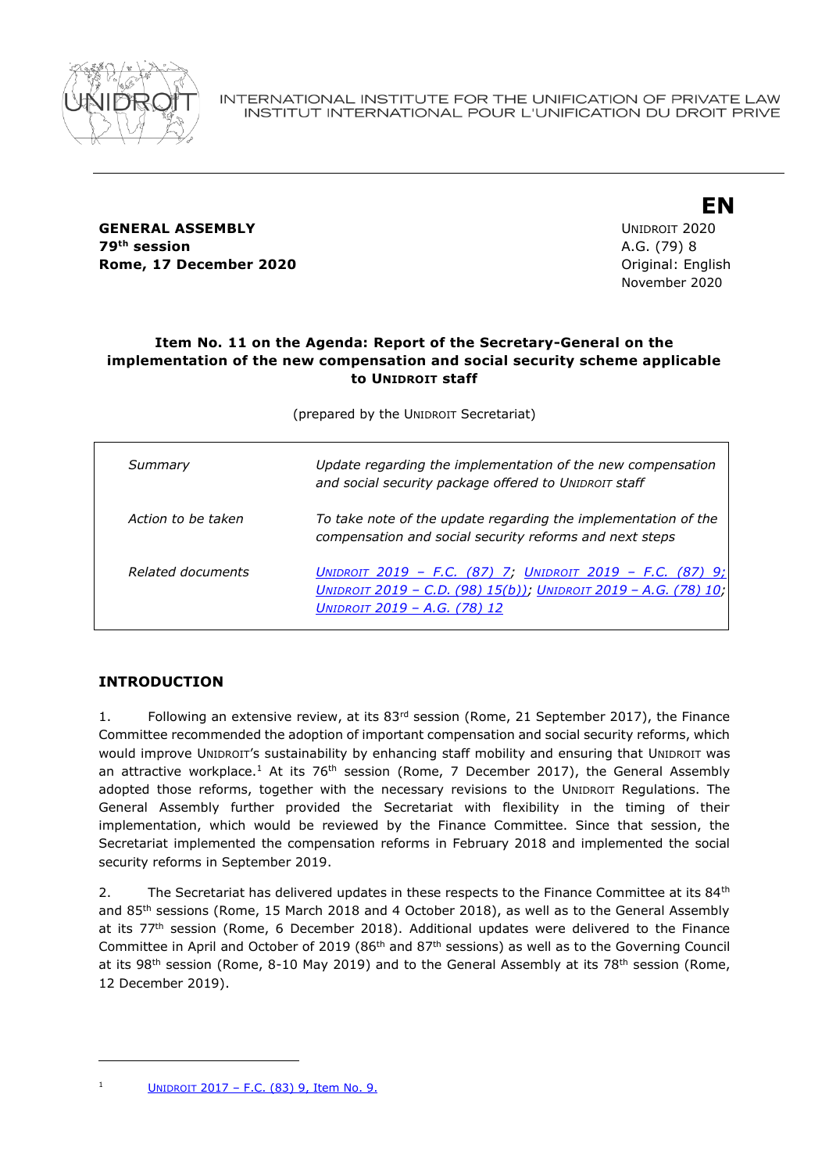

**GENERAL ASSEMBLY** UNIDROIT 2020 **79th session** A.G. (79) 8 **Rome, 17 December 2020 Constanting Construction Construction Construction Construction Construction Construction Construction Construction Construction Construction Construction Construction Construction Construction Co** 

November 2020

**EN**

## **Item No. 11 on the Agenda: Report of the Secretary-General on the implementation of the new compensation and social security scheme applicable to UNIDROIT staff**

(prepared by the UNIDROIT Secretariat)

| Summary            | Update regarding the implementation of the new compensation<br>and social security package offered to UNIDROIT staff                                                 |
|--------------------|----------------------------------------------------------------------------------------------------------------------------------------------------------------------|
| Action to be taken | To take note of the update regarding the implementation of the<br>compensation and social security reforms and next steps                                            |
| Related documents  | UNIDROIT 2019 - F.C. (87) 7; UNIDROIT 2019 - F.C. (87) 9;<br>UNIDROIT 2019 - C.D. (98) 15(b)); UNIDROIT 2019 - A.G. (78) 10;<br><u> UNIDROIT 2019 - A.G. (78) 12</u> |

# **INTRODUCTION**

1. Following an extensive review, at its  $83<sup>rd</sup>$  session (Rome, 21 September 2017), the Finance Committee recommended the adoption of important compensation and social security reforms, which would improve UNIDROIT's sustainability by enhancing staff mobility and ensuring that UNIDROIT was an attractive workplace.<sup>1</sup> At its 76<sup>th</sup> session (Rome, 7 December 2017), the General Assembly adopted those reforms, together with the necessary revisions to the UNIDROIT Regulations. The General Assembly further provided the Secretariat with flexibility in the timing of their implementation, which would be reviewed by the Finance Committee. Since that session, the Secretariat implemented the compensation reforms in February 2018 and implemented the social security reforms in September 2019.

2. The Secretariat has delivered updates in these respects to the Finance Committee at its  $84<sup>th</sup>$ and 85th sessions (Rome, 15 March 2018 and 4 October 2018), as well as to the General Assembly at its 77<sup>th</sup> session (Rome, 6 December 2018). Additional updates were delivered to the Finance Committee in April and October of 2019 (86<sup>th</sup> and 87<sup>th</sup> sessions) as well as to the Governing Council at its 98<sup>th</sup> session (Rome, 8-10 May 2019) and to the General Assembly at its 78<sup>th</sup> session (Rome, 12 December 2019).

<sup>&</sup>lt;sup>1</sup> UNIDROIT 2017 – F.C.  $(83)$  9, Item No. 9.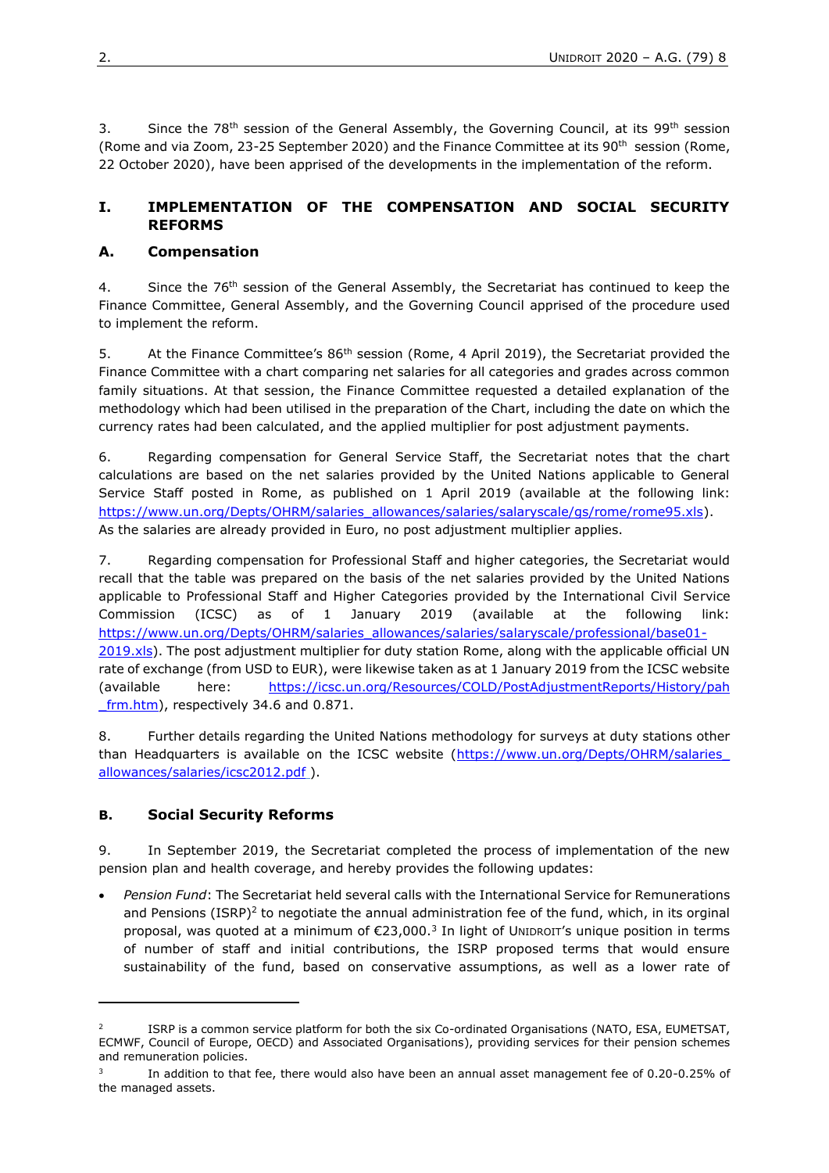3. Since the 78<sup>th</sup> session of the General Assembly, the Governing Council, at its 99<sup>th</sup> session (Rome and via Zoom, 23-25 September 2020) and the Finance Committee at its 90<sup>th</sup> session (Rome, 22 October 2020), have been apprised of the developments in the implementation of the reform.

## **I. IMPLEMENTATION OF THE COMPENSATION AND SOCIAL SECURITY REFORMS**

#### **A. Compensation**

4. Since the 76<sup>th</sup> session of the General Assembly, the Secretariat has continued to keep the Finance Committee, General Assembly, and the Governing Council apprised of the procedure used to implement the reform.

5. At the Finance Committee's 86<sup>th</sup> session (Rome, 4 April 2019), the Secretariat provided the Finance Committee with a chart comparing net salaries for all categories and grades across common family situations. At that session, the Finance Committee requested a detailed explanation of the methodology which had been utilised in the preparation of the Chart, including the date on which the currency rates had been calculated, and the applied multiplier for post adjustment payments.

6. Regarding compensation for General Service Staff, the Secretariat notes that the chart calculations are based on the net salaries provided by the United Nations applicable to General Service Staff posted in Rome, as published on 1 April 2019 (available at the following link: [https://www.un.org/Depts/OHRM/salaries\\_allowances/salaries/salaryscale/gs/rome/rome95.xls\)](https://www.un.org/Depts/OHRM/salaries_allowances/salaries/salaryscale/gs/rome/rome95.xls). As the salaries are already provided in Euro, no post adjustment multiplier applies.

7. Regarding compensation for Professional Staff and higher categories, the Secretariat would recall that the table was prepared on the basis of the net salaries provided by the United Nations applicable to Professional Staff and Higher Categories provided by the International Civil Service Commission (ICSC) as of 1 January 2019 (available at the following link: [https://www.un.org/Depts/OHRM/salaries\\_allowances/salaries/salaryscale/professional/base01-](https://www.un.org/Depts/OHRM/salaries_allowances/salaries/salaryscale/professional/base01-2019.xls) [2019.xls\)](https://www.un.org/Depts/OHRM/salaries_allowances/salaries/salaryscale/professional/base01-2019.xls). The post adjustment multiplier for duty station Rome, along with the applicable official UN rate of exchange (from USD to EUR), were likewise taken as at 1 January 2019 from the ICSC website (available here: [https://icsc.un.org/Resources/COLD/PostAdjustmentReports/History/pah](https://icsc.un.org/Resources/COLD/PostAdjustmentReports/History/pah_frm.htm) [\\_frm.htm\)](https://icsc.un.org/Resources/COLD/PostAdjustmentReports/History/pah_frm.htm), respectively 34.6 and 0.871.

8. Further details regarding the United Nations methodology for surveys at duty stations other than Headquarters is available on the ICSC website (https://www.un.org/Depts/OHRM/salaries [allowances/salaries/icsc2012.pdf](https://www.un.org/Depts/OHRM/salaries_allowances/salaries/icsc2012.pdf) ).

## **B. Social Security Reforms**

9. In September 2019, the Secretariat completed the process of implementation of the new pension plan and health coverage, and hereby provides the following updates:

• *Pension Fund*: The Secretariat held several calls with the International Service for Remunerations and Pensions (ISRP)<sup>2</sup> to negotiate the annual administration fee of the fund, which, in its orginal proposal, was quoted at a minimum of  $\epsilon$ 23,000.<sup>3</sup> In light of UNIDROIT's unique position in terms of number of staff and initial contributions, the ISRP proposed terms that would ensure sustainability of the fund, based on conservative assumptions, as well as a lower rate of

 $\overline{2}$ ISRP is a common service platform for both the six Co-ordinated Organisations (NATO, ESA, EUMETSAT, ECMWF, Council of Europe, OECD) and Associated Organisations), providing services for their pension schemes and remuneration policies.

<sup>3</sup> In addition to that fee, there would also have been an annual asset management fee of 0.20-0.25% of the managed assets.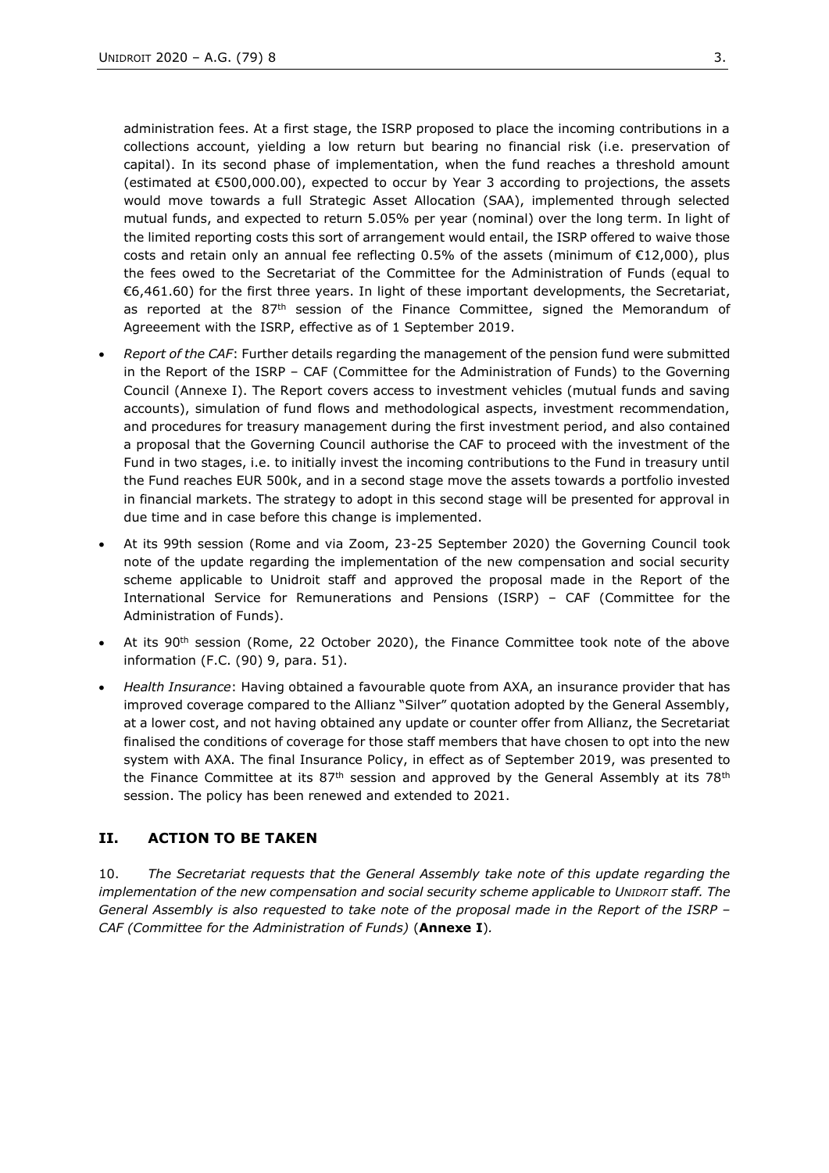administration fees. At a first stage, the ISRP proposed to place the incoming contributions in a collections account, yielding a low return but bearing no financial risk (i.e. preservation of capital). In its second phase of implementation, when the fund reaches a threshold amount (estimated at €500,000.00), expected to occur by Year 3 according to projections, the assets would move towards a full Strategic Asset Allocation (SAA), implemented through selected mutual funds, and expected to return 5.05% per year (nominal) over the long term. In light of the limited reporting costs this sort of arrangement would entail, the ISRP offered to waive those costs and retain only an annual fee reflecting 0.5% of the assets (minimum of €12,000), plus the fees owed to the Secretariat of the Committee for the Administration of Funds (equal to €6,461.60) for the first three years. In light of these important developments, the Secretariat, as reported at the  $87<sup>th</sup>$  session of the Finance Committee, signed the Memorandum of Agreeement with the ISRP, effective as of 1 September 2019.

- *Report of the CAF*: Further details regarding the management of the pension fund were submitted in the Report of the ISRP – CAF (Committee for the Administration of Funds) to the Governing Council (Annexe I). The Report covers access to investment vehicles (mutual funds and saving accounts), simulation of fund flows and methodological aspects, investment recommendation, and procedures for treasury management during the first investment period, and also contained a proposal that the Governing Council authorise the CAF to proceed with the investment of the Fund in two stages, i.e. to initially invest the incoming contributions to the Fund in treasury until the Fund reaches EUR 500k, and in a second stage move the assets towards a portfolio invested in financial markets. The strategy to adopt in this second stage will be presented for approval in due time and in case before this change is implemented.
- At its 99th session (Rome and via Zoom, 23-25 September 2020) the Governing Council took note of the update regarding the implementation of the new compensation and social security scheme applicable to Unidroit staff and approved the proposal made in the Report of the International Service for Remunerations and Pensions (ISRP) – CAF (Committee for the Administration of Funds).
- At its 90<sup>th</sup> session (Rome, 22 October 2020), the Finance Committee took note of the above information (F.C. (90) 9, para. 51).
- *Health Insurance*: Having obtained a favourable quote from AXA, an insurance provider that has improved coverage compared to the Allianz "Silver" quotation adopted by the General Assembly, at a lower cost, and not having obtained any update or counter offer from Allianz, the Secretariat finalised the conditions of coverage for those staff members that have chosen to opt into the new system with AXA. The final Insurance Policy, in effect as of September 2019, was presented to the Finance Committee at its  $87<sup>th</sup>$  session and approved by the General Assembly at its 78<sup>th</sup> session. The policy has been renewed and extended to 2021.

#### **II. ACTION TO BE TAKEN**

10. *The Secretariat requests that the General Assembly take note of this update regarding the implementation of the new compensation and social security scheme applicable to UNIDROIT staff. The General Assembly is also requested to take note of the proposal made in the Report of the ISRP – CAF (Committee for the Administration of Funds)* (**Annexe I**)*.*